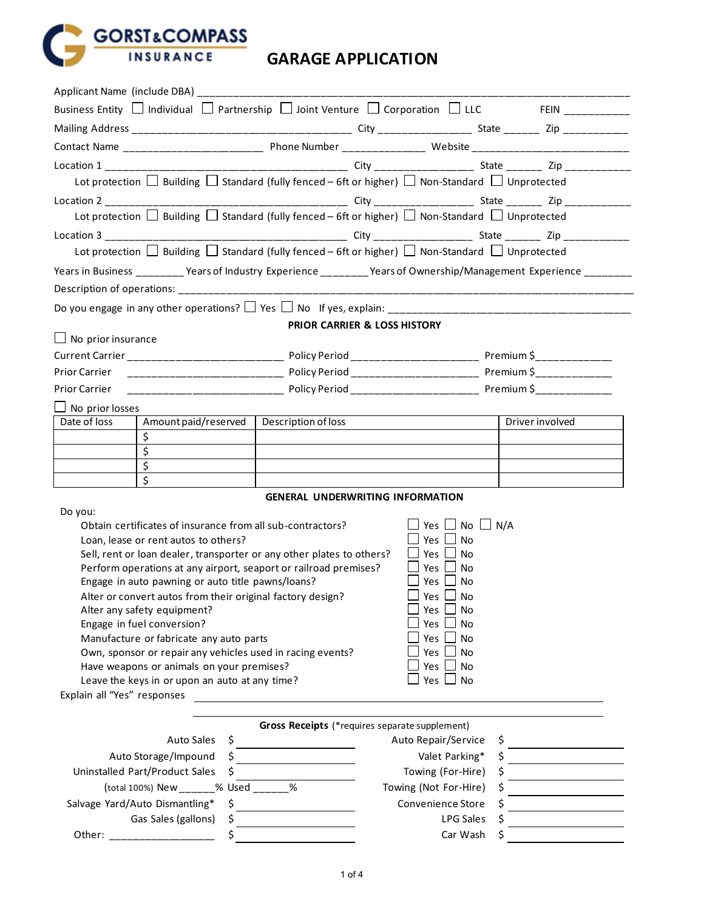GORST&COMPASS

# **GARAGE APPLICATION**

| Applicant Name (include DBA) ___                                                                                        |                                                |                                                                                                                      |
|-------------------------------------------------------------------------------------------------------------------------|------------------------------------------------|----------------------------------------------------------------------------------------------------------------------|
| Business Entity $\Box$ Individual $\Box$ Partnership $\Box$ Joint Venture $\Box$ Corporation $\Box$ LLC FEIN __________ |                                                |                                                                                                                      |
|                                                                                                                         |                                                |                                                                                                                      |
|                                                                                                                         |                                                |                                                                                                                      |
|                                                                                                                         |                                                |                                                                                                                      |
| Lot protection $\Box$ Building $\Box$ Standard (fully fenced – 6ft or higher) $\Box$ Non-Standard $\Box$ Unprotected    |                                                |                                                                                                                      |
|                                                                                                                         |                                                |                                                                                                                      |
| Lot protection $\Box$ Building $\Box$ Standard (fully fenced – 6ft or higher) $\Box$ Non-Standard $\Box$ Unprotected    |                                                |                                                                                                                      |
|                                                                                                                         |                                                |                                                                                                                      |
| Lot protection $\Box$ Building $\Box$ Standard (fully fenced – 6ft or higher) $\Box$ Non-Standard $\Box$ Unprotected    |                                                |                                                                                                                      |
| Years in Business ________ Years of Industry Experience ________ Years of Ownership/Management Experience _______       |                                                |                                                                                                                      |
|                                                                                                                         |                                                |                                                                                                                      |
|                                                                                                                         |                                                |                                                                                                                      |
|                                                                                                                         | <b>PRIOR CARRIER &amp; LOSS HISTORY</b>        |                                                                                                                      |
| $\Box$ No prior insurance                                                                                               |                                                |                                                                                                                      |
|                                                                                                                         |                                                |                                                                                                                      |
| <b>Prior Carrier</b>                                                                                                    |                                                |                                                                                                                      |
| <b>Prior Carrier</b>                                                                                                    |                                                |                                                                                                                      |
| $\Box$ No prior losses                                                                                                  |                                                |                                                                                                                      |
| Amount paid/reserved   Description of loss<br>Date of loss                                                              |                                                | Driver involved                                                                                                      |
| \$                                                                                                                      |                                                |                                                                                                                      |
| $\overline{\mathsf{S}}$                                                                                                 |                                                |                                                                                                                      |
| $\overline{\mathsf{S}}$<br>\$                                                                                           |                                                |                                                                                                                      |
|                                                                                                                         |                                                |                                                                                                                      |
| Do you:                                                                                                                 | <b>GENERAL UNDERWRITING INFORMATION</b>        |                                                                                                                      |
| Obtain certificates of insurance from all sub-contractors?                                                              | $\Box$ Yes $\Box$ No $\Box$ N/A                |                                                                                                                      |
| Loan, lease or rent autos to others?                                                                                    | $\Box$ Yes $\Box$ No                           |                                                                                                                      |
| Sell, rent or loan dealer, transporter or any other plates to others?                                                   | $\Box$ Yes $\Box$ No                           |                                                                                                                      |
| Perform operations at any airport, seaport or railroad premises?                                                        | $\Box$ Yes $\Box$ No                           |                                                                                                                      |
| Engage in auto pawning or auto title pawns/loans?                                                                       | $\Box$ Yes $\Box$ No<br>$\Box$ Yes $\Box$ No   |                                                                                                                      |
| Alter or convert autos from their original factory design?<br>Alter any safety equipment?                               | Yes $\Box$ No                                  |                                                                                                                      |
| Engage in fuel conversion?                                                                                              | Yes<br>No                                      |                                                                                                                      |
| Manufacture or fabricate any auto parts                                                                                 | Yes<br><b>No</b>                               |                                                                                                                      |
| Own, sponsor or repair any vehicles used in racing events?                                                              | Yes<br><b>No</b>                               |                                                                                                                      |
| Have weapons or animals on your premises?                                                                               | Yes<br>⊿ No                                    |                                                                                                                      |
| Leave the keys in or upon an auto at any time?                                                                          | Yes $\Box$ No                                  |                                                                                                                      |
| Explain all "Yes" responses<br><u> 1989 - John Stein, Amerikaansk politiker (</u>                                       |                                                |                                                                                                                      |
|                                                                                                                         |                                                |                                                                                                                      |
|                                                                                                                         | Gross Receipts (*requires separate supplement) |                                                                                                                      |
| <b>Auto Sales</b><br>\$                                                                                                 | Auto Repair/Service                            | Ş<br><u> 1989 - Johann Barnett, fransk politiker (</u>                                                               |
| Auto Storage/Impound<br><u> 1989 - Johann Stone, fransk politiker (</u>                                                 | Valet Parking*                                 | <u> 1989 - Jan Stein Stein Stein Stein Stein Stein Stein Stein Stein Stein Stein Stein Stein Stein Stein Stein S</u> |
| Uninstalled Part/Product Sales<br>Ś                                                                                     | Towing (For-Hire)                              |                                                                                                                      |
| (total 100%) New _______% Used _______%                                                                                 | Towing (Not For-Hire)                          |                                                                                                                      |
| Salvage Yard/Auto Dismantling*<br>\$                                                                                    | Convenience Store                              |                                                                                                                      |
|                                                                                                                         |                                                |                                                                                                                      |
| Gas Sales (gallons)<br>\$<br><u> 1980 - Johann Barbara, martin a</u><br>Other: ___________________                      | <b>LPG Sales</b><br>Car Wash                   |                                                                                                                      |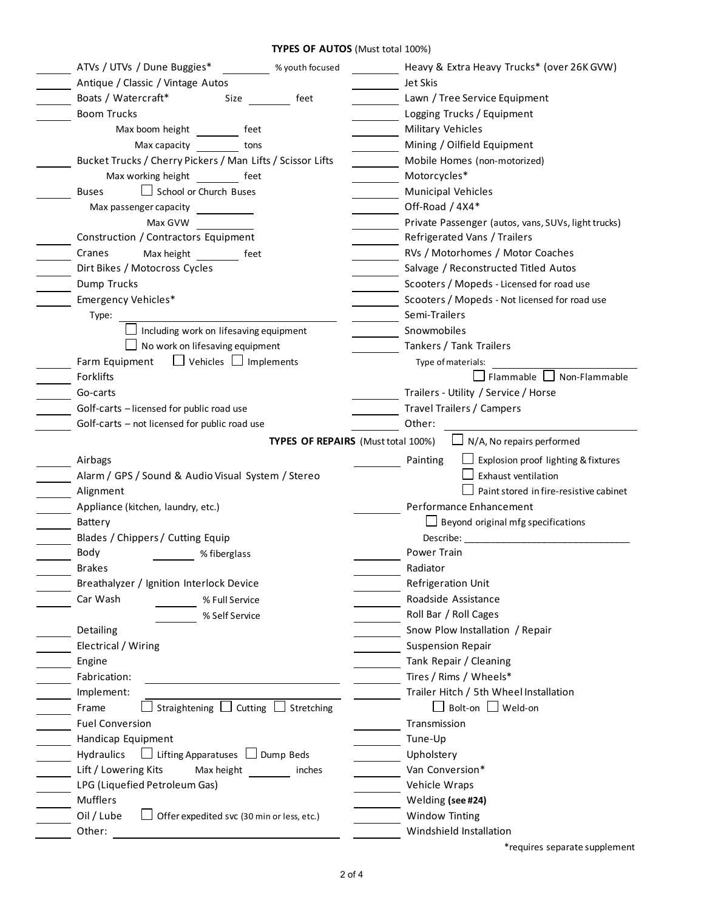# **TYPES OF AUTOS** (Must total 100%)

| ATVs / UTVs / Dune Buggies*<br>% youth focused                  | Heavy & Extra Heavy Trucks* (over 26K GVW)             |  |  |
|-----------------------------------------------------------------|--------------------------------------------------------|--|--|
| Antique / Classic / Vintage Autos                               | Jet Skis                                               |  |  |
| Boats / Watercraft*<br>Size<br>feet                             | Lawn / Tree Service Equipment                          |  |  |
| <b>Boom Trucks</b>                                              | Logging Trucks / Equipment                             |  |  |
| Max boom height<br>feet                                         | Military Vehicles                                      |  |  |
| Max capacity<br>tons                                            | Mining / Oilfield Equipment                            |  |  |
| Bucket Trucks / Cherry Pickers / Man Lifts / Scissor Lifts      | Mobile Homes (non-motorized)                           |  |  |
| Max working height feet                                         | Motorcycles*                                           |  |  |
| School or Church Buses<br><b>Buses</b>                          | <b>Municipal Vehicles</b>                              |  |  |
| Max passenger capacity                                          | Off-Road / 4X4*                                        |  |  |
| Max GVW                                                         | Private Passenger (autos, vans, SUVs, light trucks)    |  |  |
| Construction / Contractors Equipment                            | Refrigerated Vans / Trailers                           |  |  |
| Cranes<br>Max height feet                                       | RVs / Motorhomes / Motor Coaches                       |  |  |
| Dirt Bikes / Motocross Cycles                                   | Salvage / Reconstructed Titled Autos                   |  |  |
| Dump Trucks                                                     | Scooters / Mopeds - Licensed for road use              |  |  |
| Emergency Vehicles*                                             | Scooters / Mopeds - Not licensed for road use          |  |  |
| Type:                                                           | Semi-Trailers                                          |  |  |
| $\Box$ Including work on lifesaving equipment                   | Snowmobiles                                            |  |  |
| $\Box$ No work on lifesaving equipment                          | Tankers / Tank Trailers                                |  |  |
| $\Box$ Vehicles $\Box$ Implements<br>Farm Equipment             | Type of materials:                                     |  |  |
| Forklifts                                                       | $\Box$ Flammable $\Box$ Non-Flammable                  |  |  |
| Go-carts                                                        | Trailers - Utility / Service / Horse                   |  |  |
| Golf-carts - licensed for public road use                       | Travel Trailers / Campers                              |  |  |
| Golf-carts - not licensed for public road use                   | Other:                                                 |  |  |
|                                                                 |                                                        |  |  |
| TYPES OF REPAIRS (Must total 100%)                              | $\Box$ N/A, No repairs performed                       |  |  |
| Airbags                                                         | $\Box$ Explosion proof lighting & fixtures<br>Painting |  |  |
| Alarm / GPS / Sound & Audio Visual System / Stereo              | Exhaust ventilation                                    |  |  |
| Alignment                                                       | Paint stored in fire-resistive cabinet                 |  |  |
| Appliance (kitchen, laundry, etc.)                              | Performance Enhancement                                |  |  |
| Battery                                                         | $\Box$ Beyond original mfg specifications              |  |  |
| Blades / Chippers / Cutting Equip                               |                                                        |  |  |
| Body<br>% fiberglass                                            | Power Train                                            |  |  |
| <b>Brakes</b>                                                   | Radiator                                               |  |  |
| Breathalyzer / Ignition Interlock Device                        | Refrigeration Unit                                     |  |  |
| Car Wash<br>% Full Service                                      | Roadside Assistance                                    |  |  |
| % Self Service                                                  | Roll Bar / Roll Cages                                  |  |  |
| Detailing                                                       | Snow Plow Installation / Repair                        |  |  |
| Electrical / Wiring                                             | <b>Suspension Repair</b>                               |  |  |
| Engine                                                          | Tank Repair / Cleaning                                 |  |  |
| Fabrication:                                                    | Tires / Rims / Wheels*                                 |  |  |
| Implement:                                                      | Trailer Hitch / 5th Wheel Installation                 |  |  |
| Straightening $\Box$ Cutting $\Box$<br>Stretching<br>Frame      | $\Box$ Bolt-on $\Box$ Weld-on                          |  |  |
| <b>Fuel Conversion</b>                                          | Transmission                                           |  |  |
| Handicap Equipment                                              | Tune-Up                                                |  |  |
| LJ Lifting Apparatuses LJ Dump Beds<br>Hydraulics               | Upholstery                                             |  |  |
|                                                                 |                                                        |  |  |
| Lift / Lowering Kits<br>Max height<br>inches                    | Van Conversion*                                        |  |  |
| LPG (Liquefied Petroleum Gas)                                   | Vehicle Wraps                                          |  |  |
| Mufflers                                                        | Welding (see #24)                                      |  |  |
| Oil / Lube<br>$\Box$ Offer expedited svc (30 min or less, etc.) | <b>Window Tinting</b>                                  |  |  |

\*requires separate supplement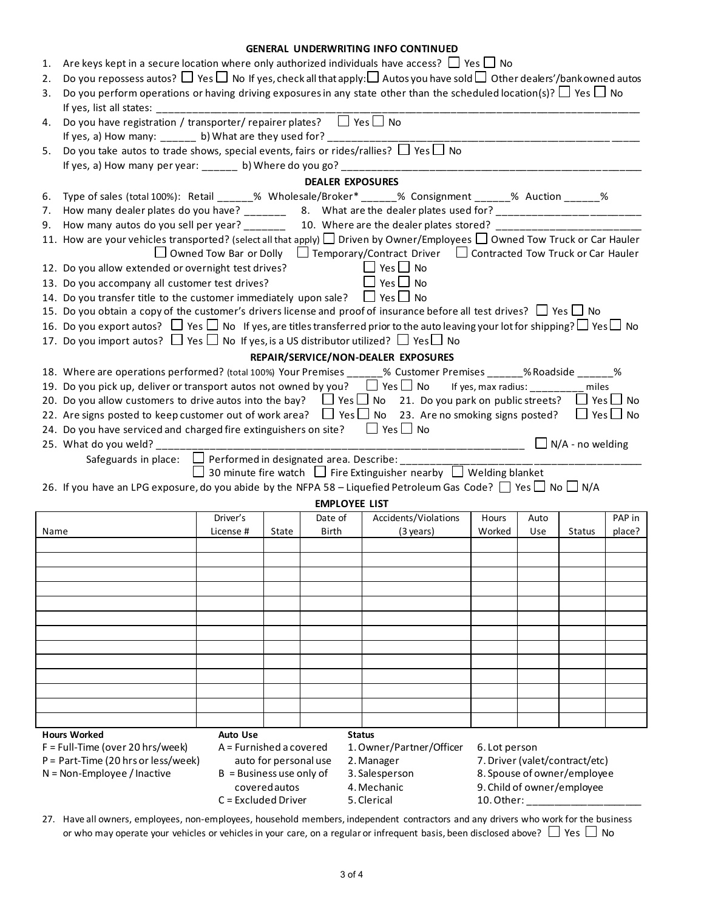# **GENERAL UNDERWRITING INFO CONTINUED**

| 1.   | Are keys kept in a secure location where only authorized individuals have access? $\Box$ Yes $\Box$ No                                                                                                                  |                             |                       |                         |                                                                                                          |               |                  |                                |        |
|------|-------------------------------------------------------------------------------------------------------------------------------------------------------------------------------------------------------------------------|-----------------------------|-----------------------|-------------------------|----------------------------------------------------------------------------------------------------------|---------------|------------------|--------------------------------|--------|
| 2.   | Do you repossess autos? $\Box$ Yes $\Box$ No If yes, check all that apply: $\Box$ Autos you have sold $\Box$ Other dealers'/bankowned autos                                                                             |                             |                       |                         |                                                                                                          |               |                  |                                |        |
| 3.   | Do you perform operations or having driving exposures in any state other than the scheduled location(s)? $\Box$ Yes $\Box$ No                                                                                           |                             |                       |                         |                                                                                                          |               |                  |                                |        |
|      |                                                                                                                                                                                                                         |                             |                       |                         |                                                                                                          |               |                  |                                |        |
| 4.   | Do you have registration / transporter/ repairer plates? $\Box$ Yes $\Box$ No                                                                                                                                           |                             |                       |                         |                                                                                                          |               |                  |                                |        |
|      | If yes, a) How many: ______ b) What are they used for? ________                                                                                                                                                         |                             |                       |                         |                                                                                                          |               |                  |                                |        |
| 5.   | Do you take autos to trade shows, special events, fairs or rides/rallies? $\Box$ Yes $\Box$ No                                                                                                                          |                             |                       |                         |                                                                                                          |               |                  |                                |        |
|      |                                                                                                                                                                                                                         |                             |                       |                         |                                                                                                          |               |                  |                                |        |
|      |                                                                                                                                                                                                                         |                             |                       | <b>DEALER EXPOSURES</b> |                                                                                                          |               |                  |                                |        |
| 6.   | Type of sales (total 100%): Retail ______% Wholesale/Broker* ______% Consignment ______% Auction ______%                                                                                                                |                             |                       |                         |                                                                                                          |               |                  |                                |        |
|      |                                                                                                                                                                                                                         |                             |                       |                         |                                                                                                          |               |                  |                                |        |
| 9.   | How many autos do you sell per year? __________ 10. Where are the dealer plates stored? ______________________                                                                                                          |                             |                       |                         |                                                                                                          |               |                  |                                |        |
|      | 11. How are your vehicles transported? (select all that apply) $\Box$ Driven by Owner/Employees $\Box$ Owned Tow Truck or Car Hauler                                                                                    |                             |                       |                         |                                                                                                          |               |                  |                                |        |
|      |                                                                                                                                                                                                                         |                             |                       |                         | $\Box$ Owned Tow Bar or Dolly $\Box$ Temporary/Contract Driver $\Box$ Contracted Tow Truck or Car Hauler |               |                  |                                |        |
|      | 12. Do you allow extended or overnight test drives?                                                                                                                                                                     |                             |                       |                         | $\Box$ Yes $\Box$ No                                                                                     |               |                  |                                |        |
|      | 13. Do you accompany all customer test drives?                                                                                                                                                                          |                             |                       |                         | $\Box$ Yes $\Box$ No                                                                                     |               |                  |                                |        |
|      |                                                                                                                                                                                                                         |                             |                       |                         |                                                                                                          |               |                  |                                |        |
|      | 14. Do you transfer title to the customer immediately upon sale? $\Box$ Yes $\Box$ No<br>15. Do you obtain a copy of the customer's drivers license and proof of insurance before all test drives? $\Box$ Yes $\Box$ No |                             |                       |                         |                                                                                                          |               |                  |                                |        |
|      | 16. Do you export autos? $\Box$ Yes $\Box$ No If yes, are titles transferred prior to the auto leaving your lot for shipping? $\Box$ Yes $\Box$ No                                                                      |                             |                       |                         |                                                                                                          |               |                  |                                |        |
|      |                                                                                                                                                                                                                         |                             |                       |                         |                                                                                                          |               |                  |                                |        |
|      | 17. Do you import autos? $\Box$ Yes $\Box$ No If yes, is a US distributor utilized? $\Box$ Yes $\Box$ No                                                                                                                |                             |                       |                         |                                                                                                          |               |                  |                                |        |
|      | REPAIR/SERVICE/NON-DEALER EXPOSURES<br>18. Where are operations performed? (total 100%) Your Premises _____% Customer Premises _____% Roadside _____%                                                                   |                             |                       |                         |                                                                                                          |               |                  |                                |        |
|      | 19. Do you pick up, deliver or transport autos not owned by you? $\Box$ Yes $\Box$ No If yes, max radius: _________ miles                                                                                               |                             |                       |                         |                                                                                                          |               |                  |                                |        |
|      | 20. Do you allow customers to drive autos into the bay? $\Box$ Yes $\Box$ No 21. Do you park on public streets? $\Box$ Yes $\Box$ No                                                                                    |                             |                       |                         |                                                                                                          |               |                  |                                |        |
|      | 22. Are signs posted to keep customer out of work area? □ Yes □ No 23. Are no smoking signs posted? □ Yes □ No                                                                                                          |                             |                       |                         |                                                                                                          |               |                  |                                |        |
|      |                                                                                                                                                                                                                         |                             |                       |                         |                                                                                                          |               |                  |                                |        |
|      | 24. Do you have serviced and charged fire extinguishers on site? $\Box$ Yes $\Box$ No<br>$\Box$ N/A - no welding<br>25. What do you weld? _______                                                                       |                             |                       |                         |                                                                                                          |               |                  |                                |        |
|      | Safeguards in place: $\Box$ Performed in designated area. Describe: ________                                                                                                                                            |                             |                       |                         |                                                                                                          |               |                  |                                |        |
|      |                                                                                                                                                                                                                         |                             |                       |                         | 30 minute fire watch $\Box$ Fire Extinguisher nearby $\Box$ Welding blanket                              |               |                  |                                |        |
|      | 26. If you have an LPG exposure, do you abide by the NFPA 58 - Liquefied Petroleum Gas Code? $\Box$ Yes $\Box$ No $\Box$ N/A                                                                                            |                             |                       |                         |                                                                                                          |               |                  |                                |        |
|      |                                                                                                                                                                                                                         |                             |                       | <b>EMPLOYEE LIST</b>    |                                                                                                          |               |                  |                                |        |
|      |                                                                                                                                                                                                                         |                             |                       | Date of                 |                                                                                                          |               |                  |                                |        |
|      |                                                                                                                                                                                                                         |                             |                       |                         |                                                                                                          |               |                  |                                |        |
|      |                                                                                                                                                                                                                         | Driver's                    |                       |                         | Accidents/Violations                                                                                     | Hours         | Auto             |                                | PAP in |
| Name |                                                                                                                                                                                                                         | License #                   | State                 | Birth                   | (3 years)                                                                                                | Worked        | Use              | <b>Status</b>                  | place? |
|      |                                                                                                                                                                                                                         |                             |                       |                         |                                                                                                          |               |                  |                                |        |
|      |                                                                                                                                                                                                                         |                             |                       |                         |                                                                                                          |               |                  |                                |        |
|      |                                                                                                                                                                                                                         |                             |                       |                         |                                                                                                          |               |                  |                                |        |
|      |                                                                                                                                                                                                                         |                             |                       |                         |                                                                                                          |               |                  |                                |        |
|      |                                                                                                                                                                                                                         |                             |                       |                         |                                                                                                          |               |                  |                                |        |
|      |                                                                                                                                                                                                                         |                             |                       |                         |                                                                                                          |               |                  |                                |        |
|      |                                                                                                                                                                                                                         |                             |                       |                         |                                                                                                          |               |                  |                                |        |
|      |                                                                                                                                                                                                                         |                             |                       |                         |                                                                                                          |               |                  |                                |        |
|      |                                                                                                                                                                                                                         |                             |                       |                         |                                                                                                          |               |                  |                                |        |
|      |                                                                                                                                                                                                                         |                             |                       |                         |                                                                                                          |               |                  |                                |        |
|      |                                                                                                                                                                                                                         |                             |                       |                         |                                                                                                          |               |                  |                                |        |
|      |                                                                                                                                                                                                                         |                             |                       |                         |                                                                                                          |               |                  |                                |        |
|      |                                                                                                                                                                                                                         |                             |                       |                         |                                                                                                          |               |                  |                                |        |
|      | <b>Hours Worked</b>                                                                                                                                                                                                     | <b>Auto Use</b>             |                       |                         | <b>Status</b>                                                                                            |               |                  |                                |        |
|      | $F = Full-Time (over 20 hrs/week)$<br>$P = Part-Time (20 hrs or less/week)$                                                                                                                                             | $A = Furnished$ a covered   | auto for personal use |                         | 1. Owner/Partner/Officer<br>2. Manager                                                                   | 6. Lot person |                  | 7. Driver (valet/contract/etc) |        |
|      | $N = Non-Employee / Inactive$                                                                                                                                                                                           | $B = B$ usiness use only of |                       |                         | 3. Salesperson                                                                                           |               |                  | 8. Spouse of owner/employee    |        |
|      |                                                                                                                                                                                                                         |                             | coveredautos          |                         | 4. Mechanic                                                                                              |               | 10.0ther: ______ | 9. Child of owner/employee     |        |

27. Have all owners, employees, non-employees, household members, independent contractors and any drivers who work for the business or who may operate your vehicles or vehicles in your care, on a regular or infrequent basis, been disclosed above?  $\Box$  Yes  $\Box$  No